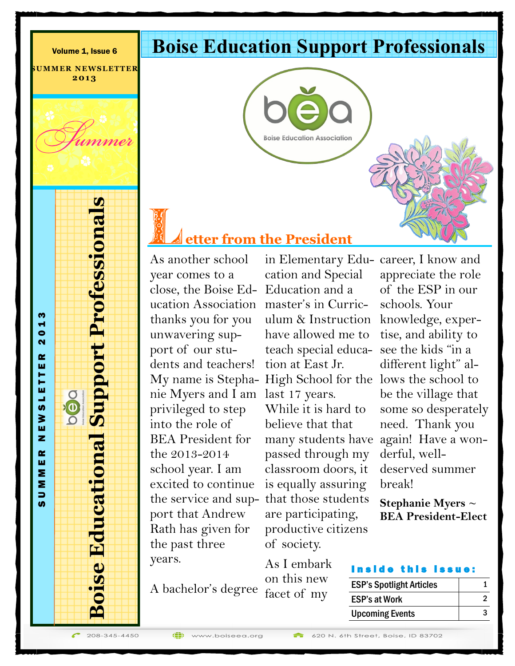Volume 1, Issue 6

**SUMMER NEWSLETTER 2 0 1 3**

# **Boise Education Support Professionals**



## **etter from the President**

As another school year comes to a close, the Boise Ed-Education and a ucation Association master's in Curricthanks you for you unwavering support of our students and teachers! nie Myers and I am last 17 years. privileged to step into the role of BEA President for the 2013-2014 school year. I am excited to continue the service and sup-that those students port that Andrew Rath has given for the past three years.

cation and Special have allowed me to tion at East Jr. While it is hard to believe that that passed through my classroom doors, it is equally assuring are participating, productive citizens of society.

A bachelor's degree facet of my

**(b)** 

My name is Stepha-High School for the lows the school to ulum & Instruction knowledge, experteach special educa-see the kids "in a many students have again! Have a won-

> As I embark on this new

in Elementary Edu-career, I know and appreciate the role of the ESP in our schools. Your tise, and ability to different light" albe the village that some so desperately need. Thank you derful, welldeserved summer break!

> **Stephanie Myers ~ BEA President-Elect**

### this issue

| <b>ESP's Spotlight Articles</b> |  |
|---------------------------------|--|
| <b>ESP's at Work</b>            |  |
| <b>Upcoming Events</b>          |  |

208-345-4450

**Boise Educational Support Professionals**

**Boise Educational Support Professionals** 

S U M M E R N E W S L E T T E R 2 0 1 3

**Dépo** 

ETTE

u, **ທ** ≩ ш z œ ш Σ Σ  $\Rightarrow$ ശ

m  $\blacksquare$  $\bullet$  $\overline{\mathbf{N}}$ œ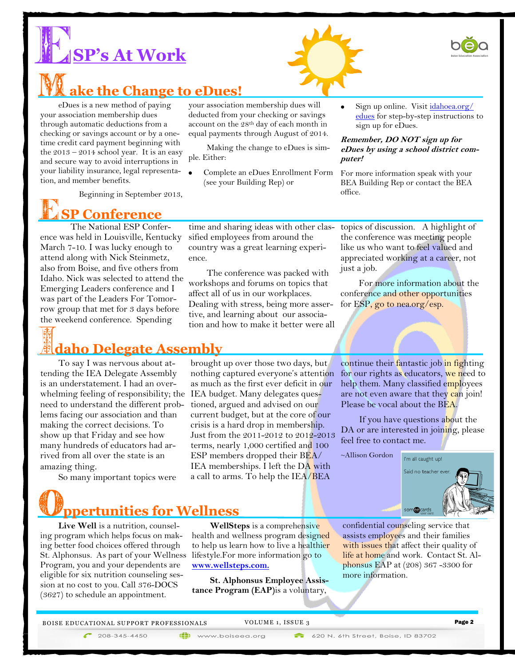





**ake the Change to eDues!**

eDues is a new method of paying your association membership dues through automatic deductions from a checking or savings account or by a onetime credit card payment beginning with the  $2013 - 2014$  school year. It is an easy and secure way to avoid interruptions in your liability insurance, legal representation, and member benefits.

Beginning in September 2013,



## **SP Conference**

The National ESP Conference was held in Louisville, Kentucky March 7-10. I was lucky enough to attend along with Nick Steinmetz, also from Boise, and five others from Idaho. Nick was selected to attend the Emerging Leaders conference and I was part of the Leaders For Tomorrow group that met for 3 days before the weekend conference. Spending

## **daho Delegate Assembly**

To say I was nervous about attending the IEA Delegate Assembly is an understatement. I had an overwhelming feeling of responsibility; the need to understand the different problems facing our association and than making the correct decisions. To show up that Friday and see how many hundreds of educators had arrived from all over the state is an amazing thing.

So many important topics were

your association membership dues will deducted from your checking or savings account on the 28th day of each month in equal payments through August of 2014.

Making the change to eDues is simple. Either:

Complete an eDues Enrollment Form (see your Building Rep) or

time and sharing ideas with other classified employees from around the country was a great learning experi-

The conference was packed with workshops and forums on topics that affect all of us in our workplaces. Dealing with stress, being more assertive, and learning about our association and how to make it better were all

ence.

Sign up online. Visit *idahoea.org/* edues for step-by-step instructions to sign up for eDues.

#### **Remember, DO NOT sign up for eDues by using a school district computer!**

For more information speak with your BEA Building Rep or contact the BEA office.

topics of discussion. A highlight of the conference was meeting people like us who want to feel valued and appreciated working at a career, not just a job.

For more information about the conference and other opportunities for ESP, go to nea.org/esp.

brought up over those two days, but nothing captured everyone's attention as much as the first ever deficit in our IEA budget. Many delegates questioned, argued and advised on our current budget, but at the core of our crisis is a hard drop in membership. Just from the 2011-2012 to 2012-2013 terms, nearly 1,000 certified and 100 ESP members dropped their BEA/ IEA memberships. I left the DA with a call to arms. To help the IEA/BEA

continue their fantastic job in fighting for our rights as educators, we need to help them. Many classified employees are not even aware that they can join! Please be vocal about the BEA.

If you have questions about the DA or are interested in joining, please feel free to contact me.

~Allison Gordon



# **ppertunities for Wellness**

**Live Well** is a nutrition, counseling program which helps focus on making better food choices offered through St. Alphonsus. As part of your Wellness Program, you and your dependents are eligible for six nutrition counseling session at no cost to you. Call 376-DOCS (3627) to schedule an appointment.

**WellSteps** is a comprehensive health and wellness program designed to help us learn how to live a healthier lifestyle.For more information go to **[www.wellsteps.com.](https://www.wellsteps.com./)**

**St. Alphonsus Employee Assistance Program (EAP)**is a voluntary,

(iii) www.boiseea.org

confidential counseling service that assists employees and their families with issues that affect their quality of life at home and work. Contact St. Alphonsus EAP at (208) 367 -3300 for more information.

BOISE EDUCATIONAL SUPPORT PROFESSIONALS VOLUME 1, ISSUE 3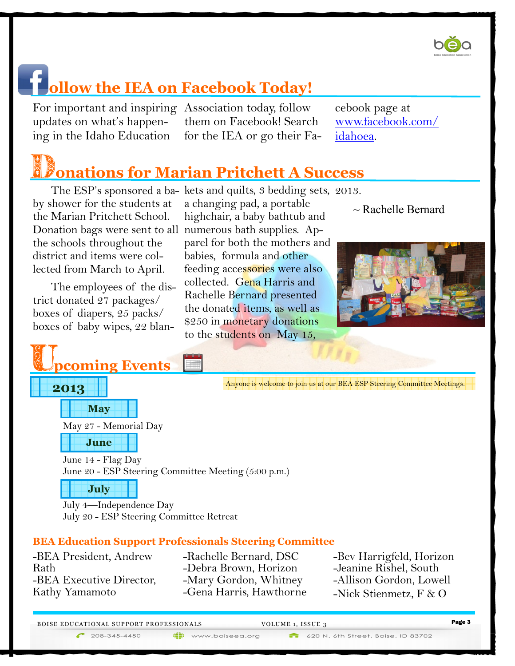

## **ollow the IEA on Facebook Today!**

For important and inspiring Association today, follow updates on what's happen-

ing in the Idaho Education for the IEA or go their Fathem on Facebook! Search

cebook page at www.facebook.com/ idahoea.

# **onations for Marian Pritchett A Success**

by shower for the students at the Marian Pritchett School. the schools throughout the district and items were collected from March to April.

The employees of the district donated 27 packages/ boxes of diapers, 25 packs/ boxes of baby wipes, 22 blan-



 $\sim$  Rachelle Bernard



Anyone is welcome to join us at our BEA ESP Steering Committee Meetings.

May 27 - Memorial Day

**pcoming Events**



**May**

**2013**

June 14 - Flag Day June 20 - ESP Steering Committee Meeting (5:00 p.m.)



July 4—Independence Day July 20 - ESP Steering Committee Retreat

## **BEA Education Support Professionals Steering Committee**

-BEA President, Andrew Rath -BEA Executive Director, Kathy Yamamoto

-Rachelle Bernard, DSC -Debra Brown, Horizon -Mary Gordon, Whitney -Gena Harris, Hawthorne -Bev Harrigfeld, Horizon -Jeanine Rishel, South -Allison Gordon, Lowell -Nick Stienmetz, F & O

| <b>BOISE EDUCATIONAL SUPPORT PROFESSIONALS</b> | VOLUME 1, ISSUE 3 | Page 3 |
|------------------------------------------------|-------------------|--------|
|                                                |                   |        |

(iii) www.boiseea.org